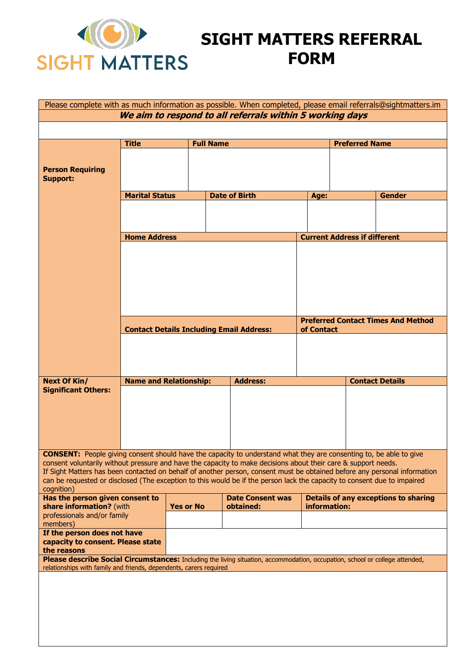

**SIGHT MATTERS REFERRAL FORM** 

|                                                                    |                       | Please complete with as much information as possible. When completed, please email referrals@sightmatters.im |                                                                                                                                                                                                                                                                                                                                                                         |                                     |                       |                                             |  |  |  |  |  |
|--------------------------------------------------------------------|-----------------------|--------------------------------------------------------------------------------------------------------------|-------------------------------------------------------------------------------------------------------------------------------------------------------------------------------------------------------------------------------------------------------------------------------------------------------------------------------------------------------------------------|-------------------------------------|-----------------------|---------------------------------------------|--|--|--|--|--|
| We aim to respond to all referrals within 5 working days           |                       |                                                                                                              |                                                                                                                                                                                                                                                                                                                                                                         |                                     |                       |                                             |  |  |  |  |  |
|                                                                    |                       |                                                                                                              |                                                                                                                                                                                                                                                                                                                                                                         |                                     |                       |                                             |  |  |  |  |  |
|                                                                    | <b>Title</b>          | <b>Full Name</b>                                                                                             |                                                                                                                                                                                                                                                                                                                                                                         |                                     | <b>Preferred Name</b> |                                             |  |  |  |  |  |
|                                                                    |                       |                                                                                                              |                                                                                                                                                                                                                                                                                                                                                                         |                                     |                       |                                             |  |  |  |  |  |
| <b>Person Requiring</b><br>Support:                                |                       |                                                                                                              |                                                                                                                                                                                                                                                                                                                                                                         |                                     |                       |                                             |  |  |  |  |  |
|                                                                    | <b>Marital Status</b> |                                                                                                              | <b>Date of Birth</b>                                                                                                                                                                                                                                                                                                                                                    | Age:                                |                       | <b>Gender</b>                               |  |  |  |  |  |
|                                                                    |                       |                                                                                                              |                                                                                                                                                                                                                                                                                                                                                                         |                                     |                       |                                             |  |  |  |  |  |
|                                                                    |                       |                                                                                                              |                                                                                                                                                                                                                                                                                                                                                                         |                                     |                       |                                             |  |  |  |  |  |
|                                                                    | <b>Home Address</b>   |                                                                                                              |                                                                                                                                                                                                                                                                                                                                                                         | <b>Current Address if different</b> |                       |                                             |  |  |  |  |  |
|                                                                    |                       |                                                                                                              |                                                                                                                                                                                                                                                                                                                                                                         |                                     |                       |                                             |  |  |  |  |  |
|                                                                    |                       |                                                                                                              |                                                                                                                                                                                                                                                                                                                                                                         |                                     |                       | <b>Preferred Contact Times And Method</b>   |  |  |  |  |  |
|                                                                    |                       |                                                                                                              | <b>Contact Details Including Email Address:</b>                                                                                                                                                                                                                                                                                                                         | of Contact                          |                       |                                             |  |  |  |  |  |
|                                                                    |                       |                                                                                                              |                                                                                                                                                                                                                                                                                                                                                                         |                                     |                       |                                             |  |  |  |  |  |
| <b>Next Of Kin/</b>                                                |                       | <b>Name and Relationship:</b>                                                                                | <b>Address:</b>                                                                                                                                                                                                                                                                                                                                                         |                                     |                       | <b>Contact Details</b>                      |  |  |  |  |  |
| <b>Significant Others:</b>                                         |                       |                                                                                                              |                                                                                                                                                                                                                                                                                                                                                                         |                                     |                       |                                             |  |  |  |  |  |
|                                                                    |                       |                                                                                                              |                                                                                                                                                                                                                                                                                                                                                                         |                                     |                       |                                             |  |  |  |  |  |
|                                                                    |                       |                                                                                                              | <b>CONSENT:</b> People giving consent should have the capacity to understand what they are consenting to, be able to give                                                                                                                                                                                                                                               |                                     |                       |                                             |  |  |  |  |  |
| cognition)                                                         |                       |                                                                                                              | consent voluntarily without pressure and have the capacity to make decisions about their care & support needs.<br>If Sight Matters has been contacted on behalf of another person, consent must be obtained before any personal information<br>can be requested or disclosed (The exception to this would be if the person lack the capacity to consent due to impaired |                                     |                       |                                             |  |  |  |  |  |
| Has the person given consent to                                    |                       |                                                                                                              | <b>Date Consent was</b>                                                                                                                                                                                                                                                                                                                                                 |                                     |                       | <b>Details of any exceptions to sharing</b> |  |  |  |  |  |
| share information? (with<br>professionals and/or family            |                       | <b>Yes or No</b>                                                                                             | obtained:                                                                                                                                                                                                                                                                                                                                                               | information:                        |                       |                                             |  |  |  |  |  |
| members)<br>If the person does not have                            |                       |                                                                                                              |                                                                                                                                                                                                                                                                                                                                                                         |                                     |                       |                                             |  |  |  |  |  |
| capacity to consent. Please state<br>the reasons                   |                       |                                                                                                              |                                                                                                                                                                                                                                                                                                                                                                         |                                     |                       |                                             |  |  |  |  |  |
|                                                                    |                       |                                                                                                              | Please describe Social Circumstances: Including the living situation, accommodation, occupation, school or college attended,                                                                                                                                                                                                                                            |                                     |                       |                                             |  |  |  |  |  |
| relationships with family and friends, dependents, carers required |                       |                                                                                                              |                                                                                                                                                                                                                                                                                                                                                                         |                                     |                       |                                             |  |  |  |  |  |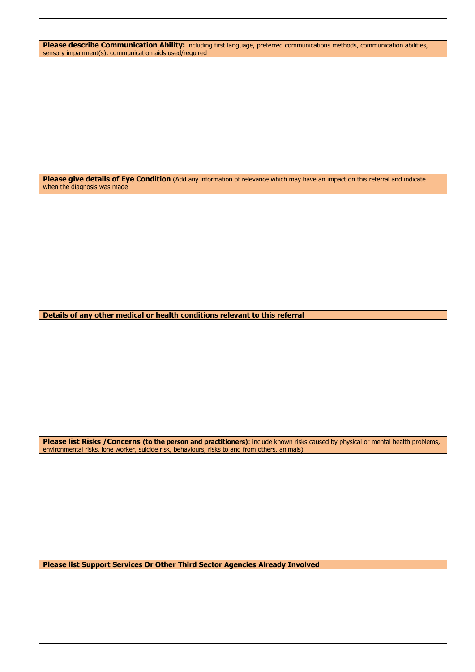| Please describe Communication Ability: including first language, preferred communications methods, communication abilities,       |
|-----------------------------------------------------------------------------------------------------------------------------------|
| sensory impairment(s), communication aids used/required                                                                           |
|                                                                                                                                   |
|                                                                                                                                   |
|                                                                                                                                   |
|                                                                                                                                   |
|                                                                                                                                   |
|                                                                                                                                   |
|                                                                                                                                   |
|                                                                                                                                   |
|                                                                                                                                   |
|                                                                                                                                   |
|                                                                                                                                   |
|                                                                                                                                   |
|                                                                                                                                   |
|                                                                                                                                   |
|                                                                                                                                   |
|                                                                                                                                   |
|                                                                                                                                   |
| Please give details of Eye Condition (Add any information of relevance which may have an impact on this referral and indicate     |
| when the diagnosis was made                                                                                                       |
|                                                                                                                                   |
|                                                                                                                                   |
|                                                                                                                                   |
|                                                                                                                                   |
|                                                                                                                                   |
|                                                                                                                                   |
|                                                                                                                                   |
|                                                                                                                                   |
|                                                                                                                                   |
|                                                                                                                                   |
|                                                                                                                                   |
|                                                                                                                                   |
|                                                                                                                                   |
|                                                                                                                                   |
|                                                                                                                                   |
|                                                                                                                                   |
|                                                                                                                                   |
|                                                                                                                                   |
| Details of any other medical or health conditions relevant to this referral                                                       |
|                                                                                                                                   |
|                                                                                                                                   |
|                                                                                                                                   |
|                                                                                                                                   |
|                                                                                                                                   |
|                                                                                                                                   |
|                                                                                                                                   |
|                                                                                                                                   |
|                                                                                                                                   |
|                                                                                                                                   |
|                                                                                                                                   |
|                                                                                                                                   |
|                                                                                                                                   |
|                                                                                                                                   |
|                                                                                                                                   |
|                                                                                                                                   |
|                                                                                                                                   |
| Please list Risks / Concerns (to the person and practitioners): include known risks caused by physical or mental health problems, |
| environmental risks, lone worker, suicide risk, behaviours, risks to and from others, animals)                                    |
|                                                                                                                                   |
|                                                                                                                                   |
|                                                                                                                                   |
|                                                                                                                                   |
|                                                                                                                                   |
|                                                                                                                                   |
|                                                                                                                                   |
|                                                                                                                                   |
|                                                                                                                                   |
|                                                                                                                                   |
|                                                                                                                                   |
|                                                                                                                                   |
|                                                                                                                                   |
|                                                                                                                                   |
|                                                                                                                                   |
| Please list Support Services Or Other Third Sector Agencies Already Involved                                                      |
|                                                                                                                                   |
|                                                                                                                                   |
|                                                                                                                                   |
|                                                                                                                                   |
|                                                                                                                                   |
|                                                                                                                                   |